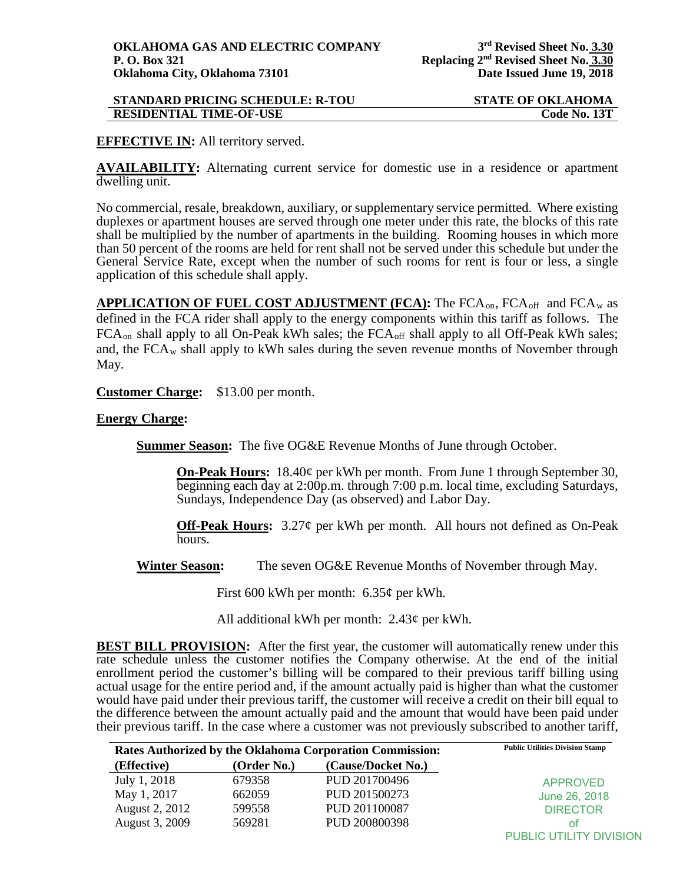| <b>STANDARD PRICING SCHEDULE: R-TOU</b> | <b>STATE OF OKLAHOMA</b> |
|-----------------------------------------|--------------------------|
| <b>RESIDENTIAL TIME-OF-USE</b>          | Code No. 13T             |

## **EFFECTIVE IN:** All territory served.

**AVAILABILITY:** Alternating current service for domestic use in a residence or apartment dwelling unit.

No commercial, resale, breakdown, auxiliary, or supplementary service permitted. Where existing duplexes or apartment houses are served through one meter under this rate, the blocks of this rate shall be multiplied by the number of apartments in the building. Rooming houses in which more than 50 percent of the rooms are held for rent shall not be served under this schedule but under the General Service Rate, except when the number of such rooms for rent is four or less, a single application of this schedule shall apply.

**APPLICATION OF FUEL COST ADJUSTMENT (FCA):** The FCA<sub>on</sub>, FCA<sub>off</sub> and FCA<sub>w</sub> as defined in the FCA rider shall apply to the energy components within this tariff as follows. The FCA<sub>on</sub> shall apply to all On-Peak kWh sales; the FCA<sub>off</sub> shall apply to all Off-Peak kWh sales; and, the  $FCA_w$  shall apply to kWh sales during the seven revenue months of November through May.

**Customer Charge:** \$13.00 per month.

## **Energy Charge:**

**Summer Season:** The five OG&E Revenue Months of June through October.

**On-Peak Hours:** 18.40¢ per kWh per month. From June 1 through September 30, beginning each day at 2:00p.m. through 7:00 p.m. local time, excluding Saturdays, Sundays, Independence Day (as observed) and Labor Day.

**Off-Peak Hours:** 3.27¢ per kWh per month. All hours not defined as On-Peak hours.

**Winter Season:** The seven OG&E Revenue Months of November through May.

First 600 kWh per month: 6.35¢ per kWh.

All additional kWh per month: 2.43¢ per kWh.

**BEST BILL PROVISION:** After the first year, the customer will automatically renew under this rate schedule unless the customer notifies the Company otherwise. At the end of the initial enrollment period the customer's billing will be compared to their previous tariff billing using actual usage for the entire period and, if the amount actually paid is higher than what the customer would have paid under their previous tariff, the customer will receive a credit on their bill equal to the difference between the amount actually paid and the amount that would have been paid under their previous tariff. In the case where a customer was not previously subscribed to another tariff,

| <b>Rates Authorized by the Oklahoma Corporation Commission:</b> |             |                    | <b>Public Utilities Division Stamp</b> |
|-----------------------------------------------------------------|-------------|--------------------|----------------------------------------|
| (Effective)                                                     | (Order No.) | (Cause/Docket No.) |                                        |
| July 1, 2018                                                    | 679358      | PUD 201700496      | <b>APPROVED</b>                        |
| May 1, 2017                                                     | 662059      | PUD 201500273      | June 26, 2018                          |
| August 2, 2012                                                  | 599558      | PUD 201100087      | <b>DIRECTOR</b>                        |
| August 3, 2009                                                  | 569281      | PUD 200800398      | Ωt                                     |
|                                                                 |             |                    | <b>PUBLIC UTILITY DIVISION</b>         |